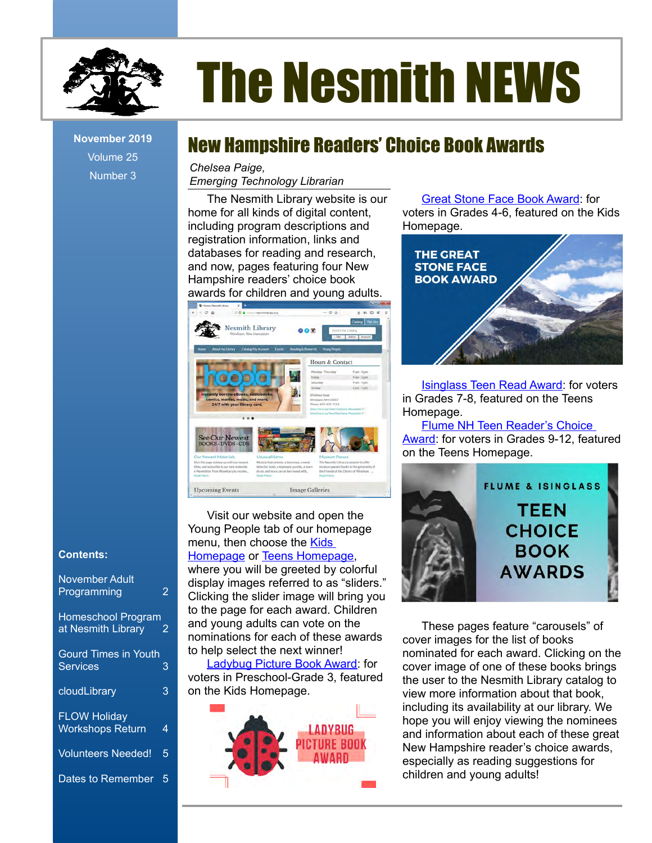

# The Nesmith NEWS

Volume 25 Number 3

## November 2019 **New Hampshire Readers' Choice Book Awards**

*Chelsea Paige,*

*Emerging Technology Librarian*

The Nesmith Library website is our home for all kinds of digital content, including program descriptions and registration information, links and databases for reading and research, and now, pages featuring four New Hampshire readers' choice book awards for children and young adults.



Visit our website and open the Young People tab of our homepage menu, then choose the **Kids** [Homepage](https://nesmithlibrary.org/kids) or [Teens Homepage](https://nesmithlibrary.org/teens), where you will be greeted by colorful display images referred to as "sliders." Clicking the slider image will bring you to the page for each award. Children and young adults can vote on the nominations for each of these awards

to help select the next winner! [Ladybug Picture Book Award:](https://nesmithlibrary.org/slider/2019/10/25/ladybug-picture-book-award) for voters in Preschool-Grade 3, featured on the Kids Homepage.



[Great Stone Face Book Award](https://nesmithlibrary.org/slider/2019/10/25/great-stone-face-book-award): for voters in Grades 4-6, featured on the Kids Homepage.



[Isinglass Teen Read Award](https://nesmithlibrary.org/slider/2016/10/17/flume-and-isinglass-choice-awards): for voters in Grades 7-8, featured on the Teens Homepage.

[Flume NH Teen Reader's Choice](https://nesmithlibrary.org/slider/2016/10/17/flume-and-isinglass-choice-awards)  [Award](https://nesmithlibrary.org/slider/2016/10/17/flume-and-isinglass-choice-awards): for voters in Grades 9-12, featured on the Teens Homepage.



These pages feature "carousels" of cover images for the list of books nominated for each award. Clicking on the cover image of one of these books brings the user to the Nesmith Library catalog to view more information about that book, including its availability at our library. We hope you will enjoy viewing the nominees and information about each of these great New Hampshire reader's choice awards, especially as reading suggestions for children and young adults!

#### **Contents:**

| November Adult<br>Programming                   | 2 |
|-------------------------------------------------|---|
| <b>Homeschool Program</b><br>at Nesmith Library | 2 |
| <b>Gourd Times in Youth</b><br><b>Services</b>  | 3 |
| cloudLibrary                                    | 3 |
| <b>FLOW Holiday</b><br><b>Workshops Return</b>  | 4 |
| <b>Volunteers Needed!</b>                       | 5 |
| <b>Dates to Remember</b>                        | 5 |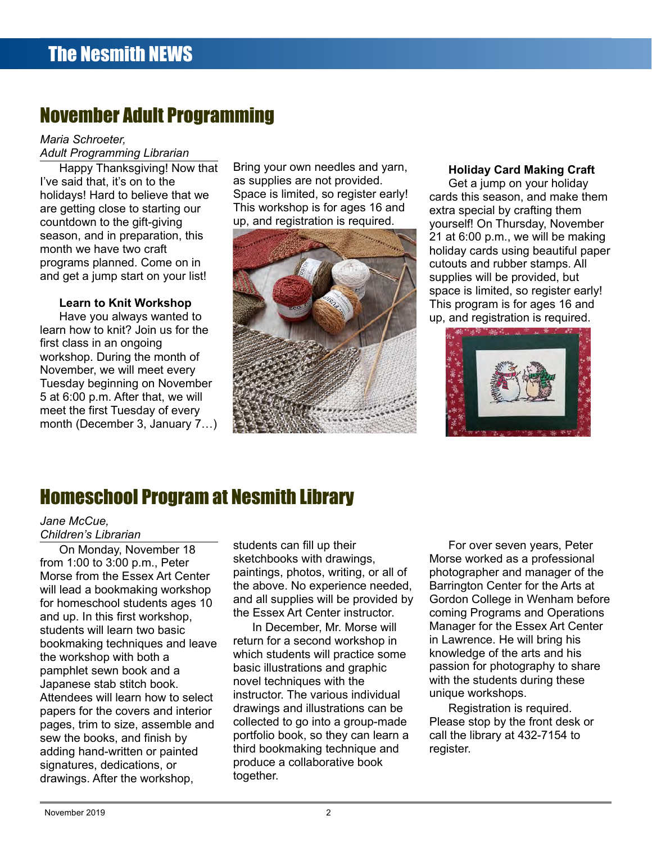## November Adult Programming

#### *Maria Schroeter, Adult Programming Librarian*

Happy Thanksgiving! Now that I've said that, it's on to the holidays! Hard to believe that we are getting close to starting our countdown to the gift-giving season, and in preparation, this month we have two craft programs planned. Come on in and get a jump start on your list!

#### **Learn to Knit Workshop**

Have you always wanted to learn how to knit? Join us for the first class in an ongoing workshop. During the month of November, we will meet every Tuesday beginning on November 5 at 6:00 p.m. After that, we will meet the first Tuesday of every month (December 3, January 7…)

Bring your own needles and yarn, as supplies are not provided. Space is limited, so register early! This workshop is for ages 16 and up, and registration is required.



#### **Holiday Card Making Craft**

Get a jump on your holiday cards this season, and make them extra special by crafting them yourself! On Thursday, November 21 at 6:00 p.m., we will be making holiday cards using beautiful paper cutouts and rubber stamps. All supplies will be provided, but space is limited, so register early! This program is for ages 16 and up, and registration is required.



## Homeschool Program at Nesmith Library

#### *Jane McCue, Children's Librarian*

On Monday, November 18 from 1:00 to 3:00 p.m., Peter Morse from the Essex Art Center will lead a bookmaking workshop for homeschool students ages 10 and up. In this first workshop, students will learn two basic bookmaking techniques and leave the workshop with both a pamphlet sewn book and a Japanese stab stitch book. Attendees will learn how to select papers for the covers and interior pages, trim to size, assemble and sew the books, and finish by adding hand-written or painted signatures, dedications, or drawings. After the workshop,

students can fill up their sketchbooks with drawings, paintings, photos, writing, or all of the above. No experience needed, and all supplies will be provided by the Essex Art Center instructor.

In December, Mr. Morse will return for a second workshop in which students will practice some basic illustrations and graphic novel techniques with the instructor. The various individual drawings and illustrations can be collected to go into a group-made portfolio book, so they can learn a third bookmaking technique and produce a collaborative book together.

For over seven years, Peter Morse worked as a professional photographer and manager of the Barrington Center for the Arts at Gordon College in Wenham before coming Programs and Operations Manager for the Essex Art Center in Lawrence. He will bring his knowledge of the arts and his passion for photography to share with the students during these unique workshops.

Registration is required. Please stop by the front desk or call the library at 432-7154 to register.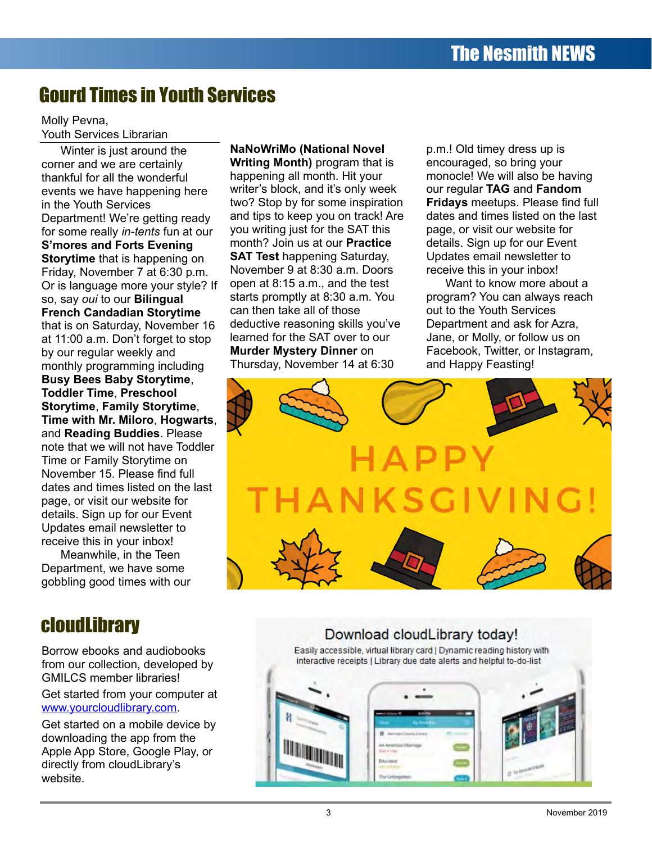## Gourd Times in Youth Services

#### Molly Pevna, Youth Services Librarian

Winter is just around the corner and we are certainly thankful for all the wonderful events we have happening here in the Youth Services Department! We're getting ready for some really *in-tents* fun at our **S'mores and Forts Evening Storytime** that is happening on Friday, November 7 at 6:30 p.m. Or is language more your style? If so, say *oui* to our **Bilingual French Candadian Storytime** that is on Saturday, November 16 at 11:00 a.m. Don't forget to stop by our regular weekly and monthly programming including **Busy Bees Baby Storytime**, **Toddler Time**, **Preschool Storytime**, **Family Storytime**, **Time with Mr. Miloro**, **Hogwarts**, and **Reading Buddies**. Please note that we will not have Toddler Time or Family Storytime on November 15. Please find full dates and times listed on the last page, or visit our website for details. Sign up for our Event Updates email newsletter to receive this in your inbox!

Meanwhile, in the Teen Department, we have some gobbling good times with our

## cloudLibrary

Borrow ebooks and audiobooks from our collection, developed by GMILCS member libraries!

Get started from your computer at [www.yourcloudlibrary.com](http://www.yourcloudlibrary.com/).

Get started on a mobile device by downloading the app from the Apple App Store, Google Play, or directly from cloudLibrary's website.

**NaNoWriMo (National Novel Writing Month)** program that is happening all month. Hit your writer's block, and it's only week two? Stop by for some inspiration and tips to keep you on track! Are you writing just for the SAT this month? Join us at our **Practice SAT Test** happening Saturday, November 9 at 8:30 a.m. Doors open at 8:15 a.m., and the test starts promptly at 8:30 a.m. You can then take all of those deductive reasoning skills you've learned for the SAT over to our **Murder Mystery Dinner** on Thursday, November 14 at 6:30

p.m.! Old timey dress up is encouraged, so bring your monocle! We will also be having our regular **TAG** and **Fandom Fridays** meetups. Please find full dates and times listed on the last page, or visit our website for details. Sign up for our Event Updates email newsletter to receive this in your inbox!

Want to know more about a program? You can always reach out to the Youth Services Department and ask for Azra, Jane, or Molly, or follow us on Facebook, Twitter, or Instagram, and Happy Feasting!



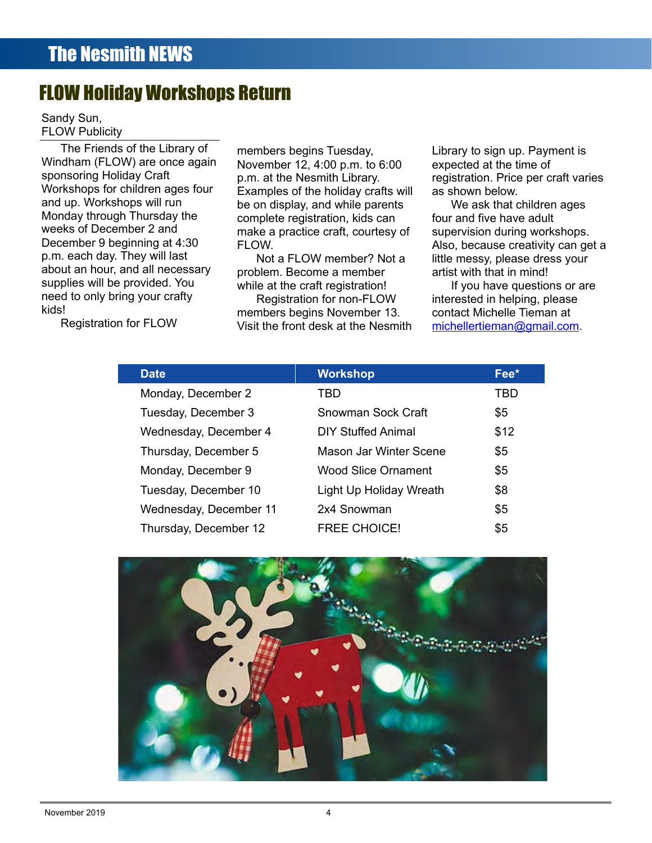## FLOW Holiday Workshops Return

Sandy Sun, FLOW Publicity

The Friends of the Library of Windham (FLOW) are once again sponsoring Holiday Craft Workshops for children ages four and up. Workshops will run Monday through Thursday the weeks of December 2 and December 9 beginning at 4:30 p.m. each day. They will last about an hour, and all necessary supplies will be provided. You need to only bring your crafty kids!

Registration for FLOW

members begins Tuesday, November 12, 4:00 p.m. to 6:00 p.m. at the Nesmith Library. Examples of the holiday crafts will be on display, and while parents complete registration, kids can make a practice craft, courtesy of FI OW

Not a FLOW member? Not a problem. Become a member while at the craft registration!

Registration for non-FLOW members begins November 13. Visit the front desk at the Nesmith Library to sign up. Payment is expected at the time of registration. Price per craft varies as shown below.

We ask that children ages four and five have adult supervision during workshops. Also, because creativity can get a little messy, please dress your artist with that in mind!

If you have questions or are interested in helping, please contact Michelle Tieman at [michellertieman@gmail.com](mailto:michellertieman@gmail.com).

| <b>Date</b>            | <b>Workshop</b>            | Fee* |
|------------------------|----------------------------|------|
| Monday, December 2     | TBD                        | TBD  |
| Tuesday, December 3    | Snowman Sock Craft         | \$5  |
| Wednesday, December 4  | <b>DIY Stuffed Animal</b>  | \$12 |
| Thursday, December 5   | Mason Jar Winter Scene     | \$5  |
| Monday, December 9     | <b>Wood Slice Ornament</b> | \$5  |
| Tuesday, December 10   | Light Up Holiday Wreath    | \$8  |
| Wednesday, December 11 | 2x4 Snowman                | \$5  |
| Thursday, December 12  | <b>FREE CHOICE!</b>        | \$5  |